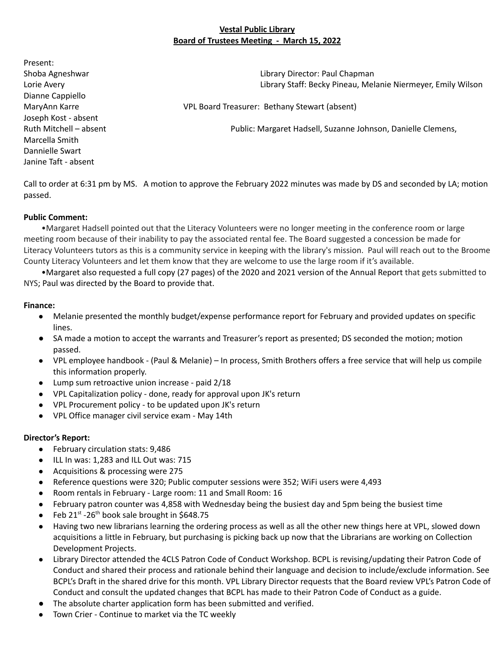### **Vestal Public Library Board of Trustees Meeting - March 15, 2022**

Present: Shoba Agneshwar Library Director: Paul Chapman Lorie Avery Library Staff: Becky Pineau, Melanie Niermeyer, Emily Wilson Dianne Cappiello MaryAnn Karre VPL Board Treasurer: Bethany Stewart (absent) Joseph Kost - absent Ruth Mitchell – absent Public: Margaret Hadsell, Suzanne Johnson, Danielle Clemens, Marcella Smith Dannielle Swart Janine Taft - absent

Call to order at 6:31 pm by MS. A motion to approve the February 2022 minutes was made by DS and seconded by LA; motion passed.

### **Public Comment:**

•Margaret Hadsell pointed out that the Literacy Volunteers were no longer meeting in the conference room or large meeting room because of their inability to pay the associated rental fee. The Board suggested a concession be made for Literacy Volunteers tutors as this is a community service in keeping with the library's mission. Paul will reach out to the Broome County Literacy Volunteers and let them know that they are welcome to use the large room if it's available.

•Margaret also requested a full copy (27 pages) of the 2020 and 2021 version of the Annual Report that gets submitted to NYS; Paul was directed by the Board to provide that.

#### **Finance:**

- Melanie presented the monthly budget/expense performance report for February and provided updates on specific lines.
- SA made a motion to accept the warrants and Treasurer's report as presented; DS seconded the motion; motion passed.
- VPL employee handbook (Paul & Melanie) In process, Smith Brothers offers a free service that will help us compile this information properly.
- Lump sum retroactive union increase paid 2/18
- VPL Capitalization policy done, ready for approval upon JK's return
- VPL Procurement policy to be updated upon JK's return
- VPL Office manager civil service exam May 14th

### **Director's Report:**

- February circulation stats: 9,486
- ILL In was: 1,283 and ILL Out was: 715
- Acquisitions & processing were 275
- Reference questions were 320; Public computer sessions were 352; WiFi users were 4,493
- Room rentals in February Large room: 11 and Small Room: 16
- February patron counter was 4,858 with Wednesday being the busiest day and 5pm being the busiest time
- Feb  $21^{st}$  -26<sup>th</sup> book sale brought in \$648.75
- Having two new librarians learning the ordering process as well as all the other new things here at VPL, slowed down acquisitions a little in February, but purchasing is picking back up now that the Librarians are working on Collection Development Projects.
- Library Director attended the 4CLS Patron Code of Conduct Workshop. BCPL is revising/updating their Patron Code of Conduct and shared their process and rationale behind their language and decision to include/exclude information. See BCPL's Draft in the shared drive for this month. VPL Library Director requests that the Board review VPL's Patron Code of Conduct and consult the updated changes that BCPL has made to their Patron Code of Conduct as a guide.
- The absolute charter application form has been submitted and verified.
- Town Crier Continue to market via the TC weekly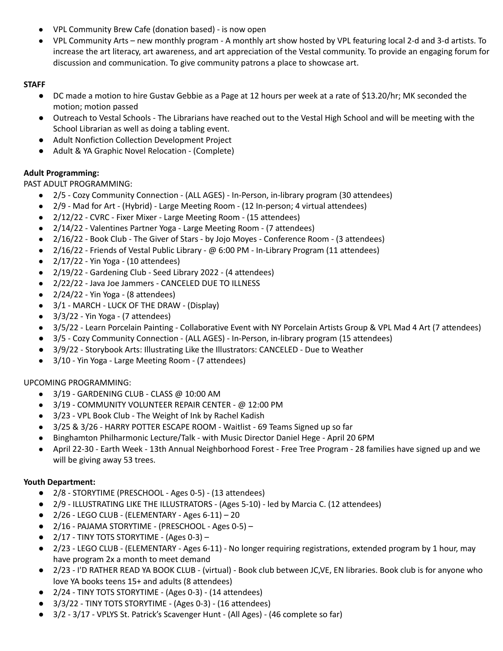- VPL Community Brew Cafe (donation based) is now open
- VPL Community Arts new monthly program A monthly art show hosted by VPL featuring local 2-d and 3-d artists. To increase the art literacy, art awareness, and art appreciation of the Vestal community. To provide an engaging forum for discussion and communication. To give community patrons a place to showcase art.

## **STAFF**

- DC made a motion to hire Gustav Gebbie as a Page at 12 hours per week at a rate of \$13.20/hr; MK seconded the motion; motion passed
- Outreach to Vestal Schools The Librarians have reached out to the Vestal High School and will be meeting with the School Librarian as well as doing a tabling event.
- Adult Nonfiction Collection Development Project
- Adult & YA Graphic Novel Relocation (Complete)

# **Adult Programming:**

PAST ADULT PROGRAMMING:

- 2/5 Cozy Community Connection (ALL AGES) In-Person, in-library program (30 attendees)
- 2/9 Mad for Art (Hybrid) Large Meeting Room (12 In-person; 4 virtual attendees)
- 2/12/22 CVRC Fixer Mixer Large Meeting Room (15 attendees)
- 2/14/22 Valentines Partner Yoga Large Meeting Room (7 attendees)
- 2/16/22 Book Club The Giver of Stars by Jojo Moyes Conference Room (3 attendees)
- 2/16/22 Friends of Vestal Public Library @ 6:00 PM In-Library Program (11 attendees)
- 2/17/22 Yin Yoga (10 attendees)
- 2/19/22 Gardening Club Seed Library 2022 (4 attendees)
- 2/22/22 Java Joe Jammers CANCELED DUE TO ILLNESS
- $\bullet$  2/24/22 Yin Yoga (8 attendees)
- 3/1 MARCH LUCK OF THE DRAW (Display)
- 3/3/22 Yin Yoga (7 attendees)
- 3/5/22 Learn Porcelain Painting Collaborative Event with NY Porcelain Artists Group & VPL Mad 4 Art (7 attendees)
- 3/5 Cozy Community Connection (ALL AGES) In-Person, in-library program (15 attendees)
- 3/9/22 Storybook Arts: Illustrating Like the Illustrators: CANCELED Due to Weather
- 3/10 Yin Yoga Large Meeting Room (7 attendees)

UPCOMING PROGRAMMING:

- $\bullet$  3/19 GARDENING CLUB CLASS @ 10:00 AM
- 3/19 COMMUNITY VOLUNTEER REPAIR CENTER @ 12:00 PM
- 3/23 VPL Book Club The Weight of Ink by Rachel Kadish
- 3/25 & 3/26 HARRY POTTER ESCAPE ROOM Waitlist 69 Teams Signed up so far
- Binghamton Philharmonic Lecture/Talk with Music Director Daniel Hege April 20 6PM
- April 22-30 Earth Week 13th Annual Neighborhood Forest Free Tree Program 28 families have signed up and we will be giving away 53 trees.

## **Youth Department:**

- 2/8 STORYTIME (PRESCHOOL Ages 0-5) (13 attendees)
- 2/9 ILLUSTRATING LIKE THE ILLUSTRATORS (Ages 5-10) led by Marcia C. (12 attendees)
- $\bullet$  2/26 LEGO CLUB (ELEMENTARY Ages 6-11) 20
- 2/16 PAJAMA STORYTIME (PRESCHOOL Ages 0-5) –
- $\bullet$  2/17 TINY TOTS STORYTIME (Ages 0-3) -
- 2/23 LEGO CLUB (ELEMENTARY Ages 6-11) No longer requiring registrations, extended program by 1 hour, may have program 2x a month to meet demand
- 2/23 I'D RATHER READ YA BOOK CLUB (virtual) Book club between JC,VE, EN libraries. Book club is for anyone who love YA books teens 15+ and adults (8 attendees)
- 2/24 TINY TOTS STORYTIME (Ages 0-3) (14 attendees)
- 3/3/22 TINY TOTS STORYTIME (Ages 0-3) (16 attendees)
- 3/2 3/17 VPLYS St. Patrick's Scavenger Hunt (All Ages) (46 complete so far)